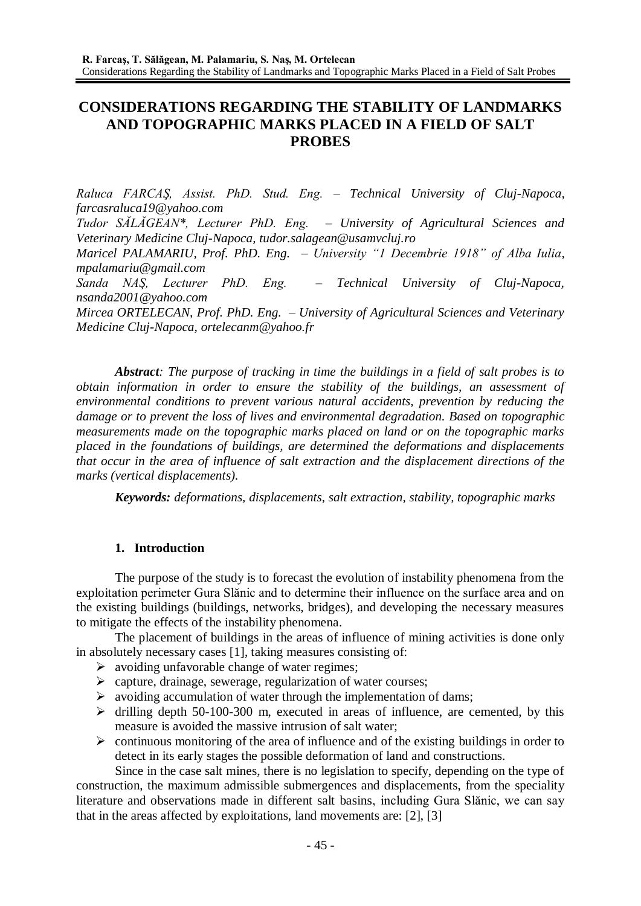# **CONSIDERATIONS REGARDING THE STABILITY OF LANDMARKS AND TOPOGRAPHIC MARKS PLACED IN A FIELD OF SALT PROBES**

*Raluca FARCAŞ, Assist. PhD. Stud. Eng. – Technical University of Cluj-Napoca, farcasraluca19@yahoo.com Tudor SĂLĂGEAN\*, Lecturer PhD. Eng. – University of Agricultural Sciences and Veterinary Medicine Cluj-Napoca, tudor.salagean@usamvcluj.ro Maricel PALAMARIU, Prof. PhD. Eng. – University "1 Decembrie 1918" of Alba Iulia, mpalamariu@gmail.com Sanda NAŞ, Lecturer PhD. Eng. – Technical University of Cluj-Napoca, nsanda2001@yahoo.com Mircea ORTELECAN, Prof. PhD. Eng. – University of Agricultural Sciences and Veterinary Medicine Cluj-Napoca, ortelecanm@yahoo.fr*

*Abstract: The purpose of tracking in time the buildings in a field of salt probes is to obtain information in order to ensure the stability of the buildings, an assessment of environmental conditions to prevent various natural accidents, prevention by reducing the damage or to prevent the loss of lives and environmental degradation. Based on topographic measurements made on the topographic marks placed on land or on the topographic marks placed in the foundations of buildings, are determined the deformations and displacements that occur in the area of influence of salt extraction and the displacement directions of the marks (vertical displacements).* 

*Keywords: deformations, displacements, salt extraction, stability, topographic marks*

## **1. Introduction**

The purpose of the study is to forecast the evolution of instability phenomena from the exploitation perimeter Gura Slănic and to determine their influence on the surface area and on the existing buildings (buildings, networks, bridges), and developing the necessary measures to mitigate the effects of the instability phenomena.

The placement of buildings in the areas of influence of mining activities is done only in absolutely necessary cases [1], taking measures consisting of:

- $\triangleright$  avoiding unfavorable change of water regimes;
- $\triangleright$  capture, drainage, sewerage, regularization of water courses;
- $\triangleright$  avoiding accumulation of water through the implementation of dams;
- $\triangleright$  drilling depth 50-100-300 m, executed in areas of influence, are cemented, by this measure is avoided the massive intrusion of salt water;
- $\triangleright$  continuous monitoring of the area of influence and of the existing buildings in order to detect in its early stages the possible deformation of land and constructions.

Since in the case salt mines, there is no legislation to specify, depending on the type of construction, the maximum admissible submergences and displacements, from the speciality literature and observations made in different salt basins, including Gura Slănic, we can say that in the areas affected by exploitations, land movements are: [2], [3]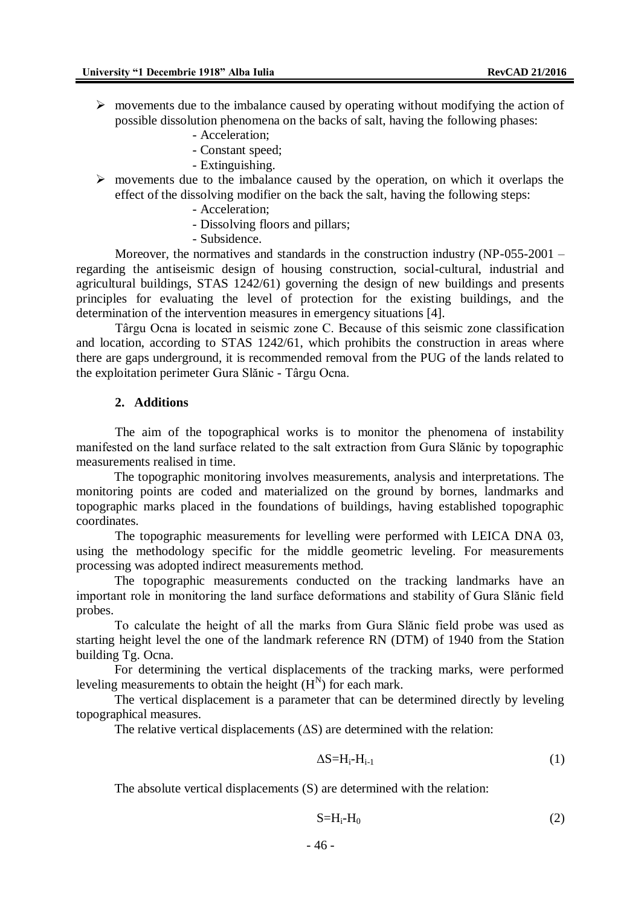- $\triangleright$  movements due to the imbalance caused by operating without modifying the action of possible dissolution phenomena on the backs of salt, having the following phases:
	- Acceleration;
	- Constant speed;
	- Extinguishing.
- $\triangleright$  movements due to the imbalance caused by the operation, on which it overlaps the effect of the dissolving modifier on the back the salt, having the following steps:
	- Acceleration;
	- Dissolving floors and pillars;
	- Subsidence.

Moreover, the normatives and standards in the construction industry (NP-055-2001 – regarding the antiseismic design of housing construction, social-cultural, industrial and agricultural buildings, STAS 1242/61) governing the design of new buildings and presents principles for evaluating the level of protection for the existing buildings, and the determination of the intervention measures in emergency situations [4].

Târgu Ocna is located in seismic zone C. Because of this seismic zone classification and location, according to STAS 1242/61, which prohibits the construction in areas where there are gaps underground, it is recommended removal from the PUG of the lands related to the exploitation perimeter Gura Slănic - Târgu Ocna.

### **2. Additions**

The aim of the topographical works is to monitor the phenomena of instability manifested on the land surface related to the salt extraction from Gura Slănic by topographic measurements realised in time.

The topographic monitoring involves measurements, analysis and interpretations. The monitoring points are coded and materialized on the ground by bornes, landmarks and topographic marks placed in the foundations of buildings, having established topographic coordinates.

The topographic measurements for levelling were performed with LEICA DNA 03, using the methodology specific for the middle geometric leveling. For measurements processing was adopted indirect measurements method.

The topographic measurements conducted on the tracking landmarks have an important role in monitoring the land surface deformations and stability of Gura Slănic field probes.

To calculate the height of all the marks from Gura Slănic field probe was used as starting height level the one of the landmark reference RN (DTM) of 1940 from the Station building Tg. Ocna.

For determining the vertical displacements of the tracking marks, were performed leveling measurements to obtain the height  $(H<sup>N</sup>)$  for each mark.

The vertical displacement is a parameter that can be determined directly by leveling topographical measures.

The relative vertical displacements  $( \Delta S)$  are determined with the relation:

$$
\Delta S = H_i - H_{i-1} \tag{1}
$$

The absolute vertical displacements (S) are determined with the relation:

$$
S=H_i-H_0 \tag{2}
$$

- 46 -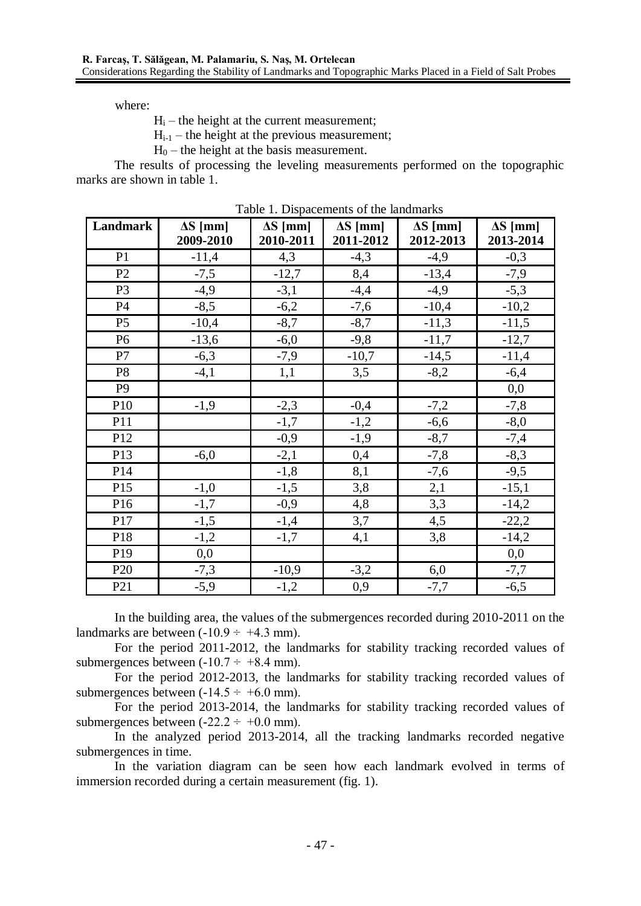where:

 $H<sub>i</sub>$  – the height at the current measurement;

 $H_{i-1}$  – the height at the previous measurement;

 $H_0$  – the height at the basis measurement.

The results of processing the leveling measurements performed on the topographic marks are shown in table 1.

| Landmark        | $\Delta S$ [mm] | $\Delta S$ [mm] | $\Delta S$ [mm] | $\Delta S$ [mm] | $\Delta S$ [mm] |
|-----------------|-----------------|-----------------|-----------------|-----------------|-----------------|
|                 | 2009-2010       | 2010-2011       | 2011-2012       | 2012-2013       | 2013-2014       |
| P <sub>1</sub>  | $-11,4$         | 4,3             | $-4,3$          | $-4,9$          | $-0,3$          |
| P2              | $-7,5$          | $-12,7$         | 8,4             | $-13,4$         | $-7,9$          |
| P <sub>3</sub>  | $-4,9$          | $-3,1$          | $-4,4$          | $-4,9$          | $-5,3$          |
| P4              | $-8,5$          | $-6,2$          | $-7,6$          | $-10,4$         | $-10,2$         |
| P <sub>5</sub>  | $-10,4$         | $-8,7$          | $-8,7$          | $-11,3$         | $-11,5$         |
| P <sub>6</sub>  | $-13,6$         | $-6,0$          | $-9,8$          | $-11,7$         | $-12,7$         |
| P7              | $-6,3$          | $-7,9$          | $-10,7$         | $-14,5$         | $-11,4$         |
| P <sub>8</sub>  | $-4,1$          | 1,1             | 3,5             | $-8,2$          | $-6,4$          |
| P <sub>9</sub>  |                 |                 |                 |                 | 0,0             |
| P10             | $-1,9$          | $-2,3$          | $-0,4$          | $-7,2$          | $-7,8$          |
| P11             |                 | $-1,7$          | $-1,2$          | $-6,6$          | $-8,0$          |
| P12             |                 | $-0,9$          | $-1,9$          | $-8,7$          | $-7,4$          |
| P13             | $-6,0$          | $-2,1$          | 0,4             | $-7,8$          | $-8,3$          |
| P14             |                 | $-1,8$          | 8,1             | $-7,6$          | $-9,5$          |
| P15             | $-1,0$          | $-1,5$          | 3,8             | 2,1             | $-15,1$         |
| P16             | $-1,7$          | $-0,9$          | 4,8             | 3,3             | $-14,2$         |
| P17             | $-1,5$          | $-1,4$          | 3,7             | 4,5             | $-22,2$         |
| P18             | $-1,2$          | $-1,7$          | 4,1             | 3,8             | $-14,2$         |
| P <sub>19</sub> | 0,0             |                 |                 |                 | 0,0             |
| P <sub>20</sub> | $-7,3$          | $-10,9$         | $-3,2$          | 6,0             | $-7,7$          |
| P <sub>21</sub> | $-5,9$          | $-1,2$          | 0,9             | $-7,7$          | $-6,5$          |

Table 1. Dispacements of the landmarks

In the building area, the values of the submergences recorded during 2010-2011 on the landmarks are between  $(-10.9 \div +4.3 \text{ mm})$ .

For the period 2011-2012, the landmarks for stability tracking recorded values of submergences between  $(-10.7 \div +8.4 \text{ mm})$ .

For the period 2012-2013, the landmarks for stability tracking recorded values of submergences between  $(-14.5 \div +6.0 \text{ mm})$ .

For the period 2013-2014, the landmarks for stability tracking recorded values of submergences between  $(-22.2 \div +0.0 \text{ mm})$ .

In the analyzed period 2013-2014, all the tracking landmarks recorded negative submergences in time.

In the variation diagram can be seen how each landmark evolved in terms of immersion recorded during a certain measurement (fig. 1).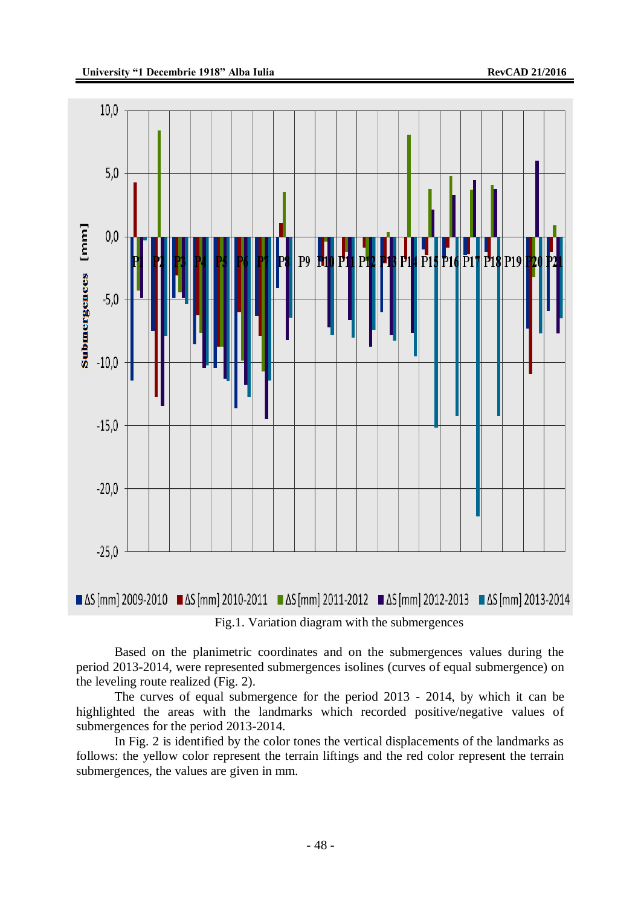

Fig.1. Variation diagram with the submergences

Based on the planimetric coordinates and on the submergences values during the period 2013-2014, were represented submergences isolines (curves of equal submergence) on the leveling route realized (Fig. 2).

The curves of equal submergence for the period 2013 - 2014, by which it can be highlighted the areas with the landmarks which recorded positive/negative values of submergences for the period 2013-2014.

In Fig. 2 is identified by the color tones the vertical displacements of the landmarks as follows: the yellow color represent the terrain liftings and the red color represent the terrain submergences, the values are given in mm.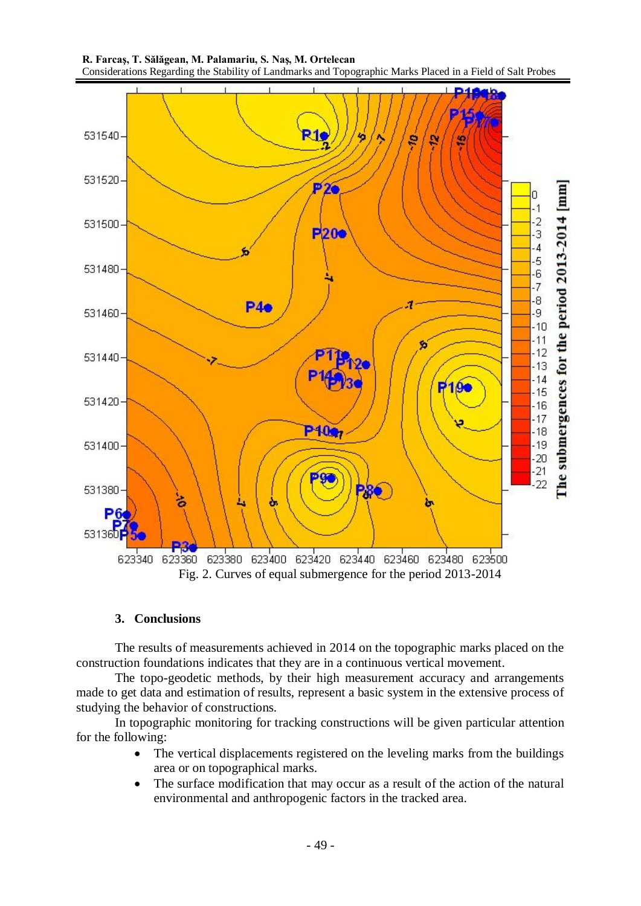



#### **3. Conclusions**

The results of measurements achieved in 2014 on the topographic marks placed on the construction foundations indicates that they are in a continuous vertical movement.

The topo-geodetic methods, by their high measurement accuracy and arrangements made to get data and estimation of results, represent a basic system in the extensive process of studying the behavior of constructions.

In topographic monitoring for tracking constructions will be given particular attention for the following:

- The vertical displacements registered on the leveling marks from the buildings area or on topographical marks.
- The surface modification that may occur as a result of the action of the natural environmental and anthropogenic factors in the tracked area.